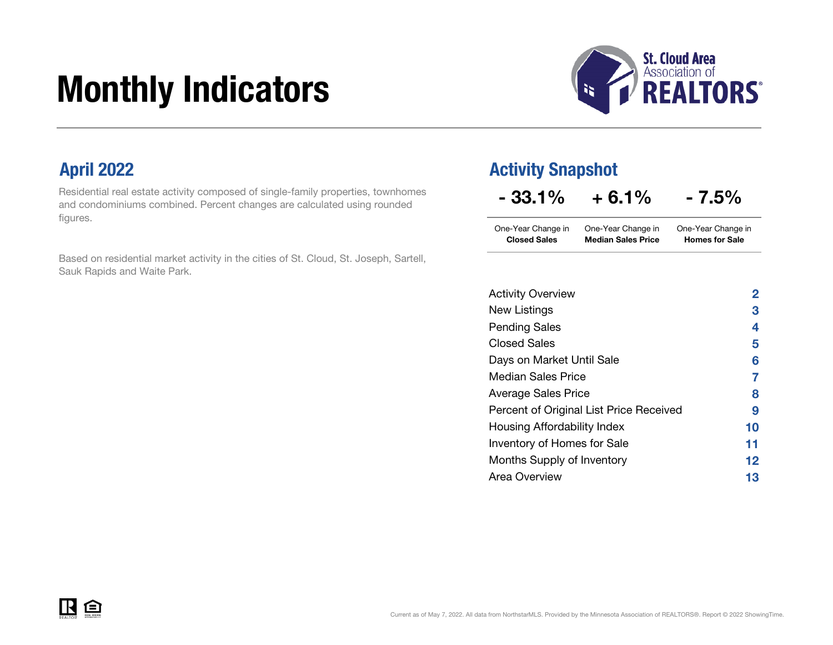# Monthly Indicators



Residential real estate activity composed of single-family properties, townhomes and condominiums combined. Percent changes are calculated using rounded figures.

Based on residential market activity in the cities of St. Cloud, St. Joseph, Sartell, Sauk Rapids and Waite Park.

### April 2022 **Activity Snapshot**

| $-33.1%$ | $+6.1%$ | $-7.5%$ |
|----------|---------|---------|
|----------|---------|---------|

One-Year Change in One-Year Change in Closed Sales Median Sales Price One-Year Change in Homes for Sale

| <b>Activity Overview</b>                | 2  |
|-----------------------------------------|----|
| New Listings                            | 3  |
| <b>Pending Sales</b>                    | 4  |
| <b>Closed Sales</b>                     | 5  |
| Days on Market Until Sale               | 6  |
| Median Sales Price                      | 7  |
| Average Sales Price                     | 8  |
| Percent of Original List Price Received | 9  |
| Housing Affordability Index             | 10 |
| Inventory of Homes for Sale             | 11 |
| Months Supply of Inventory              | 12 |
| Area Overview                           | 13 |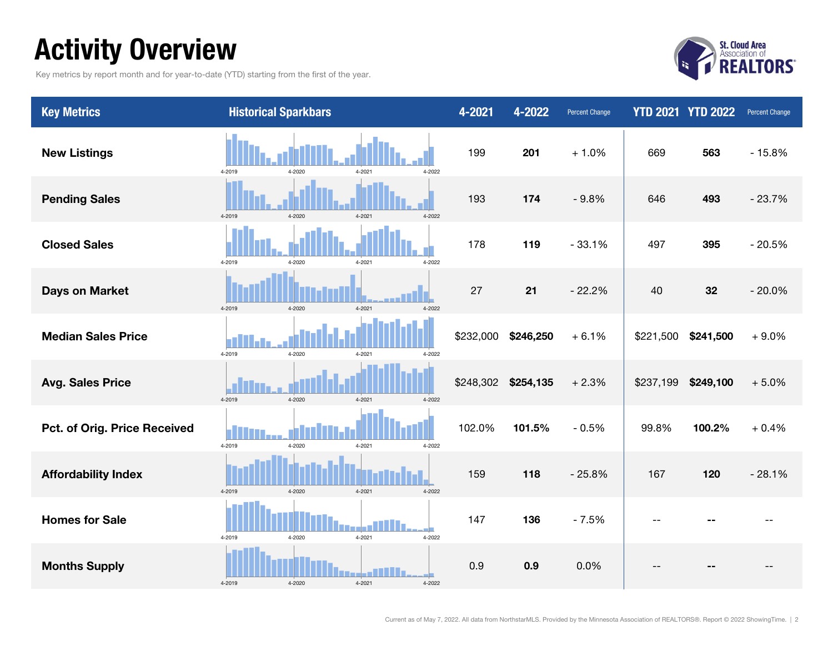### Activity Overview

Key metrics by report month and for year-to-date (YTD) starting from the first of the year.



| <b>Key Metrics</b>                  | <b>Historical Sparkbars</b>                  | 4-2021    | 4-2022    | <b>Percent Change</b> |           | <b>YTD 2021 YTD 2022</b> | <b>Percent Change</b> |
|-------------------------------------|----------------------------------------------|-----------|-----------|-----------------------|-----------|--------------------------|-----------------------|
| <b>New Listings</b>                 | $4 - 2020$<br>$4 - 2021$<br>4-2019<br>4-2022 | 199       | 201       | $+1.0%$               | 669       | 563                      | $-15.8%$              |
| <b>Pending Sales</b>                | 4-2022<br>4-2019<br>4-2020<br>4-2021         | 193       | 174       | $-9.8%$               | 646       | 493                      | $-23.7%$              |
| <b>Closed Sales</b>                 | 4-2019<br>4-2020<br>4-2021<br>4-2022         | 178       | 119       | $-33.1%$              | 497       | 395                      | $-20.5%$              |
| <b>Days on Market</b>               | 4-2019<br>4-2020<br>4-2021<br>4-2022         | 27        | 21        | $-22.2%$              | 40        | 32                       | $-20.0%$              |
| <b>Median Sales Price</b>           | 4-2019<br>4-2020<br>4-2021<br>4-2022         | \$232,000 | \$246,250 | $+6.1%$               | \$221,500 | \$241,500                | $+9.0%$               |
| <b>Avg. Sales Price</b>             | 4-2019<br>4-2020<br>4-2021<br>4-2022         | \$248,302 | \$254,135 | $+2.3%$               | \$237,199 | \$249,100                | $+5.0%$               |
| <b>Pct. of Orig. Price Received</b> | 4-2019<br>4-2020<br>4-2021<br>4-2022         | 102.0%    | 101.5%    | $-0.5%$               | 99.8%     | 100.2%                   | $+0.4%$               |
| <b>Affordability Index</b>          | 4-2019<br>4-2020<br>4-2021<br>4-2022         | 159       | 118       | $-25.8%$              | 167       | 120                      | $-28.1%$              |
| <b>Homes for Sale</b>               | 4-2021<br>4-2019<br>4-2020<br>4-2022         | 147       | 136       | $-7.5%$               | --        |                          |                       |
| <b>Months Supply</b>                | 4-2020<br>4-2021<br>4-2019<br>4-2022         | 0.9       | 0.9       | 0.0%                  |           |                          |                       |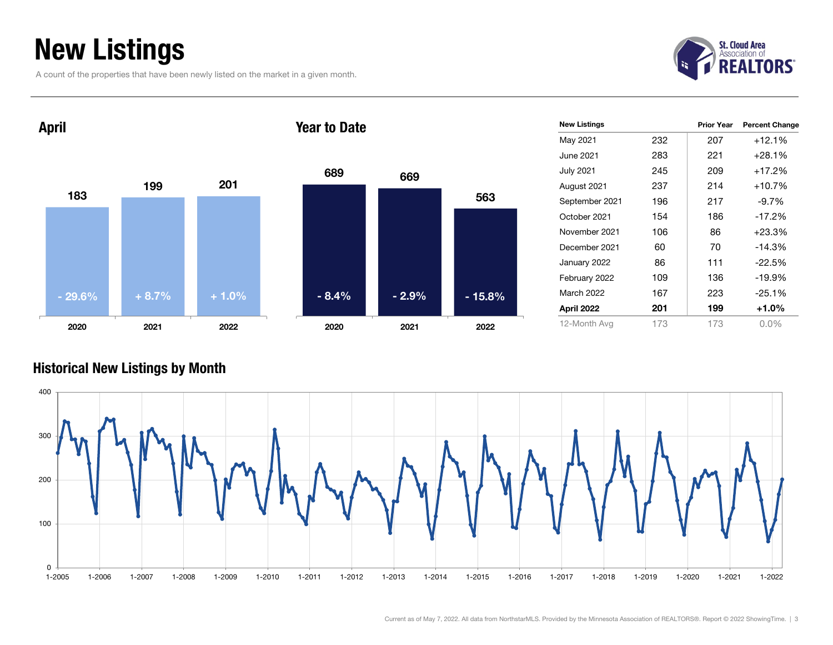### New Listings

A count of the properties that have been newly listed on the market in a given month.





| 689     | 669     |          |
|---------|---------|----------|
|         |         | 563      |
|         |         |          |
|         |         |          |
|         |         |          |
| $-8.4%$ | $-2.9%$ | $-15.8%$ |
| 2020    | 2021    | 2022     |

| <b>New Listings</b> |     | <b>Prior Year</b> | <b>Percent Change</b> |
|---------------------|-----|-------------------|-----------------------|
| May 2021            | 232 | 207               | $+12.1%$              |
| June 2021           | 283 | 221               | $+28.1\%$             |
| <b>July 2021</b>    | 245 | 209               | +17.2%                |
| August 2021         | 237 | 214               | $+10.7%$              |
| September 2021      | 196 | 217               | $-9.7\%$              |
| October 2021        | 154 | 186               | $-17.2%$              |
| November 2021       | 106 | 86                | $+23.3%$              |
| December 2021       | 60  | 70                | $-14.3%$              |
| January 2022        | 86  | 111               | $-22.5%$              |
| February 2022       | 109 | 136               | $-19.9%$              |
| March 2022          | 167 | 223               | $-25.1%$              |
| April 2022          | 201 | 199               | +1.0%                 |
| 12-Month Avg        | 173 | 173               | $0.0\%$               |

#### Historical New Listings by Month

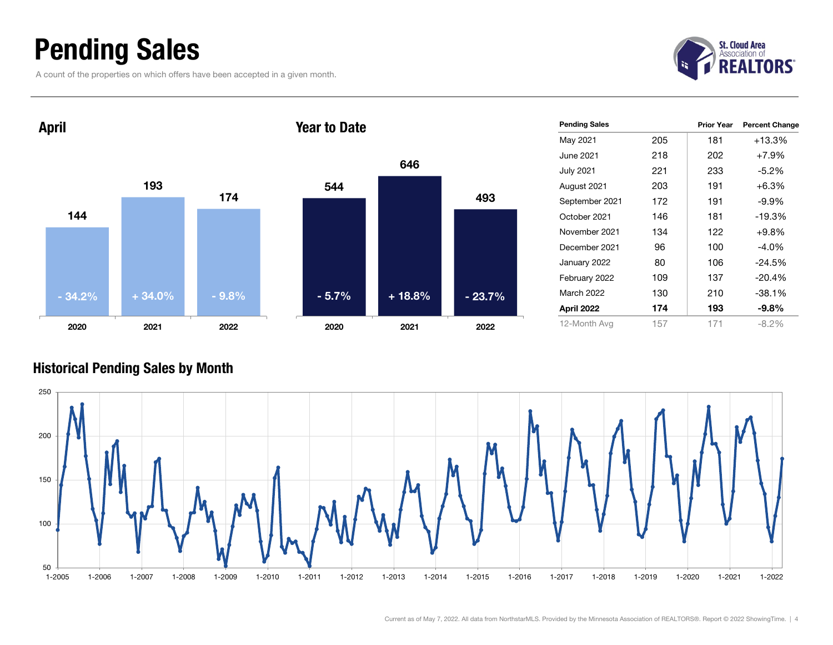### Pending Sales

A count of the properties on which offers have been accepted in a given month.





| <b>Pending Sales</b> |     | <b>Prior Year</b> | <b>Percent Change</b> |
|----------------------|-----|-------------------|-----------------------|
| May 2021             | 205 | 181               | $+13.3%$              |
| June 2021.           | 218 | 202               | $+7.9%$               |
| <b>July 2021</b>     | 221 | 233               | $-5.2\%$              |
| August 2021          | 203 | 191               | $+6.3%$               |
| September 2021       | 172 | 191               | $-9.9%$               |
| October 2021         | 146 | 181               | $-19.3%$              |
| November 2021        | 134 | 122               | $+9.8%$               |
| December 2021        | 96  | 100               | $-4.0\%$              |
| January 2022         | 80  | 106               | $-24.5%$              |
| February 2022        | 109 | 137               | $-20.4%$              |
| <b>March 2022</b>    | 130 | 210               | $-38.1%$              |
| April 2022           | 174 | 193               | $-9.8%$               |
| 12-Month Avg         | 157 | 171               | $-8.2\%$              |

#### Historical Pending Sales by Month

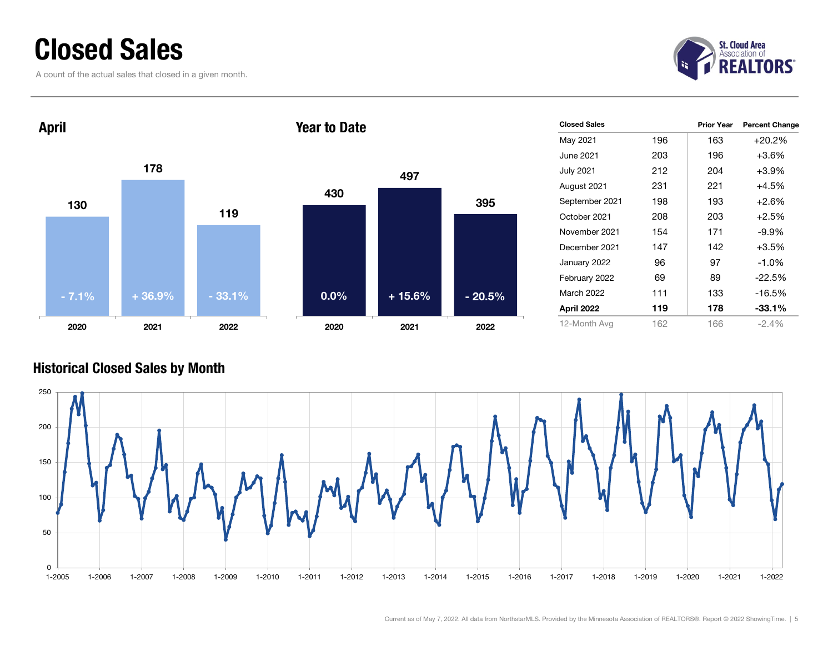### Closed Sales

A count of the actual sales that closed in a given month.





|      | 497      |          |  |
|------|----------|----------|--|
| 430  |          | 395      |  |
|      |          |          |  |
|      |          |          |  |
| 0.0% | $+15.6%$ | $-20.5%$ |  |
| 2020 | 2021     | 2022     |  |

| <b>Closed Sales</b> |     | <b>Prior Year</b> | <b>Percent Change</b> |
|---------------------|-----|-------------------|-----------------------|
| May 2021            | 196 | 163               | $+20.2%$              |
| June 2021           | 203 | 196               | $+3.6\%$              |
| <b>July 2021</b>    | 212 | 204               | $+3.9%$               |
| August 2021         | 231 | 221               | $+4.5%$               |
| September 2021      | 198 | 193               | $+2.6%$               |
| October 2021        | 208 | 203               | $+2.5%$               |
| November 2021       | 154 | 171               | $-9.9\%$              |
| December 2021       | 147 | 142               | $+3.5%$               |
| January 2022        | 96  | 97                | $-1.0\%$              |
| February 2022       | 69  | 89                | $-22.5%$              |
| March 2022          | 111 | 133               | $-16.5%$              |
| April 2022          | 119 | 178               | $-33.1\%$             |
| 12-Month Avg        | 162 | 166               | $-2.4%$               |

#### Historical Closed Sales by Month

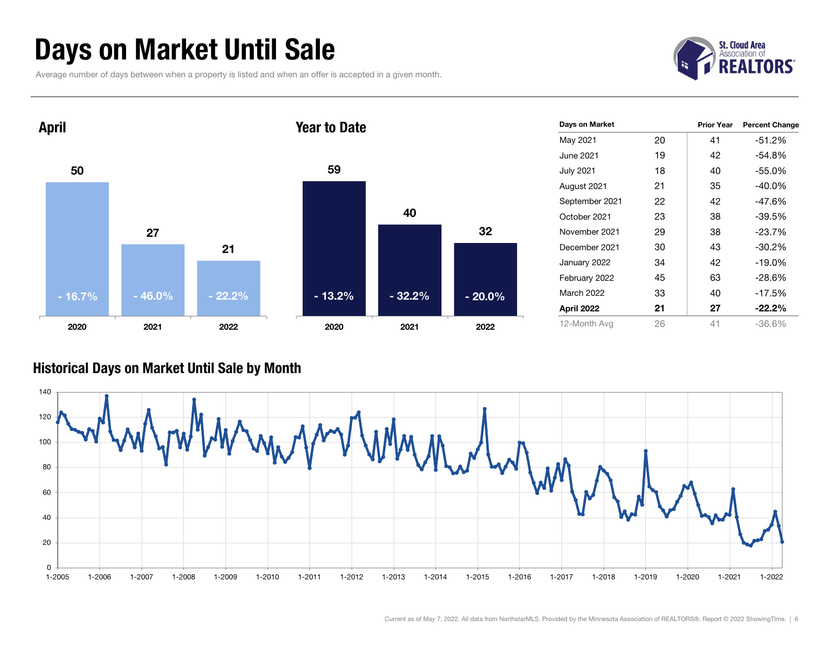### Days on Market Until Sale

Average number of days between when a property is listed and when an offer is accepted in a given month.





#### Historical Days on Market Until Sale by Month

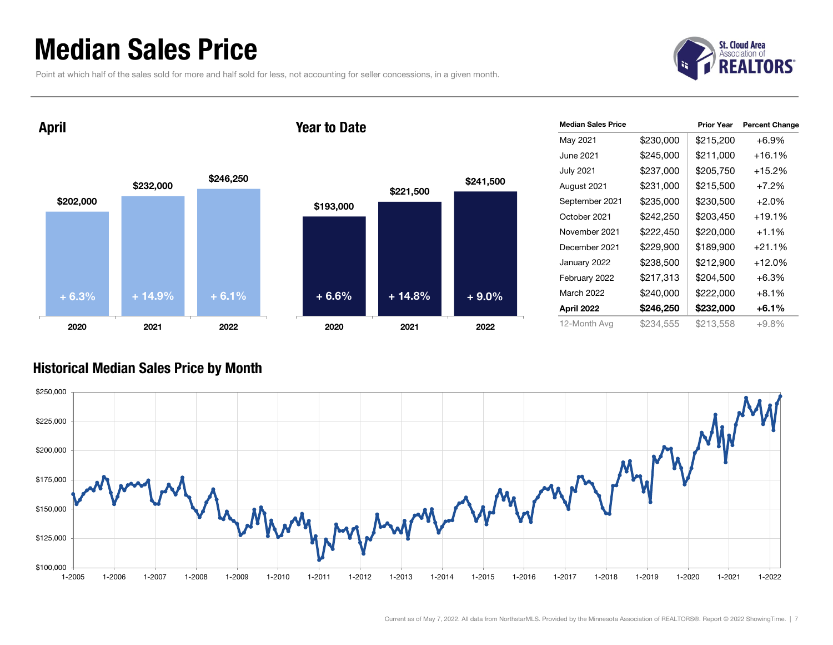### Median Sales Price

Point at which half of the sales sold for more and half sold for less, not accounting for seller concessions, in a given month.



April

#### Year to Date



| <b>Median Sales Price</b> |           | <b>Prior Year</b> | <b>Percent Change</b> |
|---------------------------|-----------|-------------------|-----------------------|
| May 2021                  | \$230,000 | \$215,200         | $+6.9%$               |
| June 2021                 | \$245,000 | \$211,000         | $+16.1\%$             |
| <b>July 2021</b>          | \$237,000 | \$205,750         | $+15.2\%$             |
| August 2021               | \$231,000 | \$215,500         | $+7.2%$               |
| September 2021            | \$235,000 | \$230,500         | $+2.0%$               |
| October 2021              | \$242,250 | \$203,450         | $+19.1\%$             |
| November 2021             | \$222,450 | \$220,000         | $+1.1%$               |
| December 2021             | \$229,900 | \$189,900         | $+21.1%$              |
| January 2022              | \$238,500 | \$212,900         | $+12.0%$              |
| February 2022             | \$217,313 | \$204,500         | $+6.3%$               |
| March 2022                | \$240,000 | \$222,000         | $+8.1%$               |
| April 2022                | \$246,250 | \$232,000         | $+6.1%$               |
| 12-Month Avg              | \$234,555 | \$213,558         | $+9.8%$               |

#### Historical Median Sales Price by Month

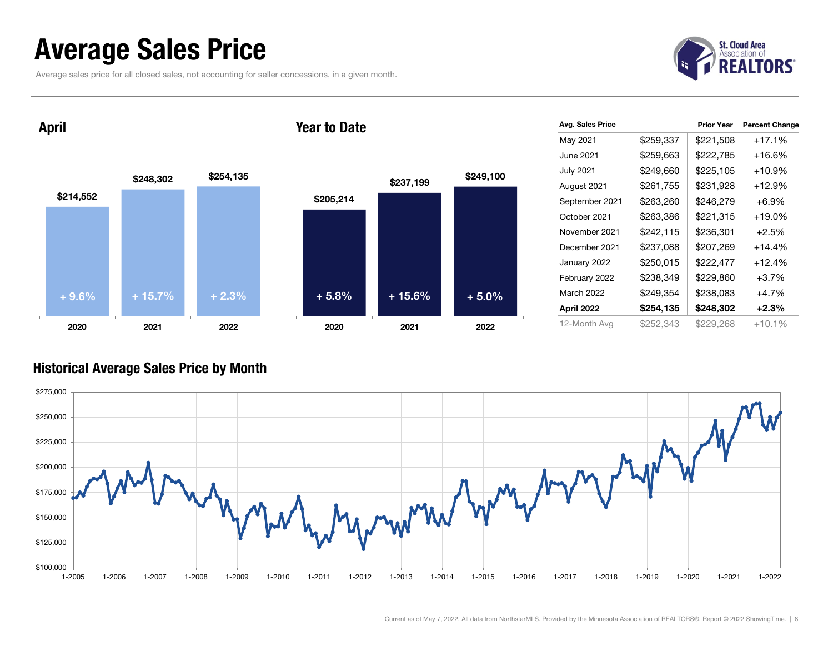### Average Sales Price

Average sales price for all closed sales, not accounting for seller concessions, in a given month.



April





|      | Avg. Sales Price  |           | <b>Prior Year</b> | <b>Percent Change</b> |
|------|-------------------|-----------|-------------------|-----------------------|
|      | May 2021          | \$259,337 | \$221,508         | $+17.1%$              |
|      | June 2021         | \$259,663 | \$222,785         | $+16.6%$              |
| .100 | <b>July 2021</b>  | \$249,660 | \$225,105         | $+10.9%$              |
|      | August 2021       | \$261,755 | \$231,928         | $+12.9%$              |
|      | September 2021    | \$263,260 | \$246,279         | +6.9%                 |
|      | October 2021      | \$263,386 | \$221,315         | $+19.0\%$             |
|      | November 2021     | \$242,115 | \$236,301         | $+2.5%$               |
|      | December 2021     | \$237,088 | \$207,269         | $+14.4%$              |
|      | January 2022      | \$250,015 | \$222,477         | $+12.4%$              |
|      | February 2022     | \$238,349 | \$229,860         | $+3.7%$               |
| ጋ%   | <b>March 2022</b> | \$249,354 | \$238,083         | +4.7%                 |
|      | April 2022        | \$254,135 | \$248,302         | $+2.3\%$              |
| 22   | 12-Month Avg      | \$252,343 | \$229,268         | $+10.1%$              |

#### Historical Average Sales Price by Month

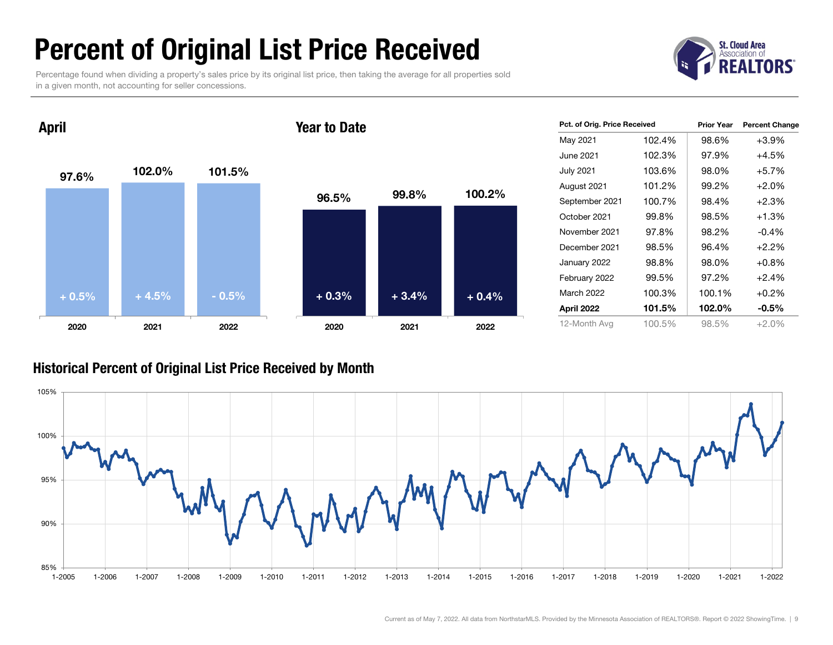### Percent of Original List Price Received

Percentage found when dividing a property's sales price by its original list price, then taking the average for all properties sold in a given month, not accounting for seller concessions.



April

#### Year to Date



| Pct. of Orig. Price Received |        | <b>Prior Year</b> | <b>Percent Change</b> |
|------------------------------|--------|-------------------|-----------------------|
| May 2021                     | 102.4% | 98.6%             | $+3.9%$               |
| June 2021                    | 102.3% | 97.9%             | $+4.5%$               |
| <b>July 2021</b>             | 103.6% | 98.0%             | $+5.7%$               |
| August 2021                  | 101.2% | 99.2%             | $+2.0%$               |
| September 2021               | 100.7% | 98.4%             | $+2.3%$               |
| October 2021                 | 99.8%  | 98.5%             | $+1.3%$               |
| November 2021                | 97.8%  | 98.2%             | $-0.4\%$              |
| December 2021                | 98.5%  | 96.4%             | $+2.2%$               |
| January 2022                 | 98.8%  | 98.0%             | $+0.8%$               |
| February 2022                | 99.5%  | 97.2%             | $+2.4%$               |
| <b>March 2022</b>            | 100.3% | 100.1%            | $+0.2%$               |
| April 2022                   | 101.5% | 102.0%            | $-0.5%$               |
| 12-Month Avg                 | 100.5% | 98.5%             | +2.0%                 |

#### Historical Percent of Original List Price Received by Month

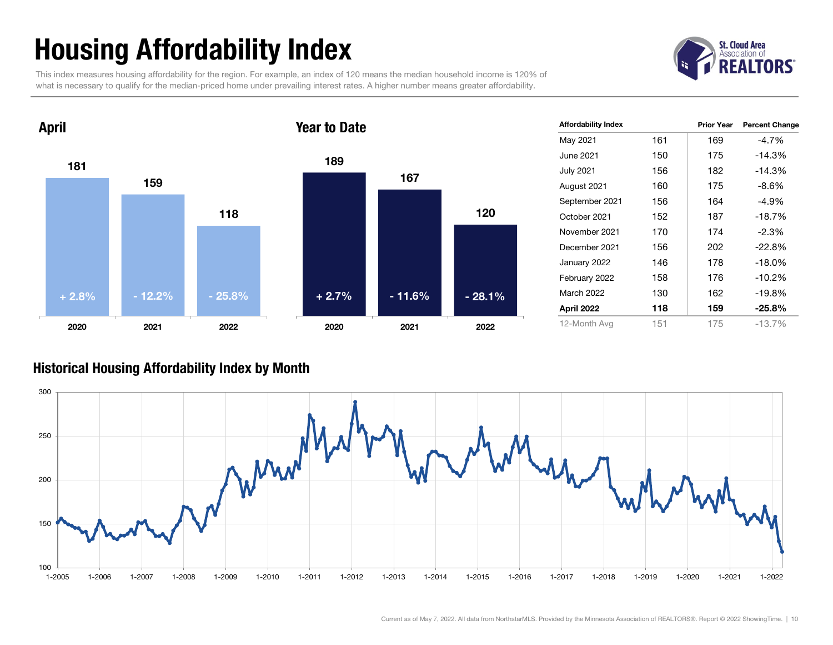## Housing Affordability Index

This index measures housing affordability for the region. For example, an index of 120 means the median household income is 120% of what is necessary to qualify for the median-priced home under prevailing interest rates. A higher number means greater affordability.





| <b>Affordability Index</b> |     | <b>Prior Year</b> | <b>Percent Change</b> |
|----------------------------|-----|-------------------|-----------------------|
| May 2021                   | 161 | 169               | $-4.7\%$              |
| June 2021.                 | 150 | 175               | $-14.3%$              |
| July 2021                  | 156 | 182               | $-14.3%$              |
| August 2021                | 160 | 175               | -8.6%                 |
| September 2021             | 156 | 164               | -4.9%                 |
| October 2021               | 152 | 187               | $-18.7\%$             |
| November 2021              | 170 | 174               | $-2.3\%$              |
| December 2021              | 156 | 202               | $-22.8%$              |
| January 2022               | 146 | 178               | $-18.0\%$             |
| February 2022              | 158 | 176               | $-10.2%$              |
| <b>March 2022</b>          | 130 | 162               | $-19.8%$              |
| April 2022                 | 118 | 159               | $-25.8%$              |
| 12-Month Avg               | 151 | 175               | $-13.7%$              |

#### Historical Housing Affordability Index by Mont h

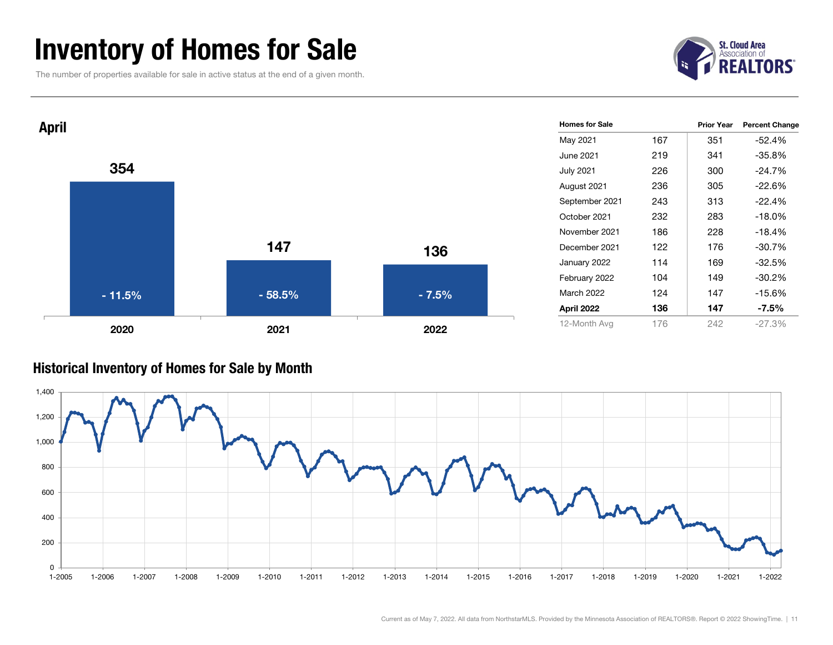### Inventory of Homes for Sale

The number of properties available for sale in active status at the end of a given month.





#### Historical Inventory of Homes for Sale by Month

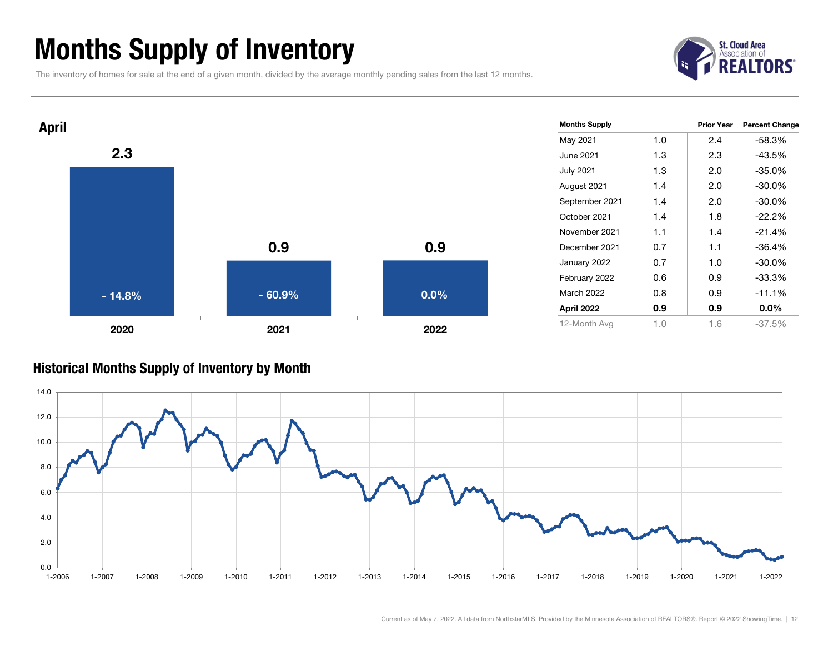### Months Supply of Inventory

The inventory of homes for sale at the end of a given month, divided by the average monthly pending sales from the last 12 months.





#### Historical Months Supply of Inventory by Month